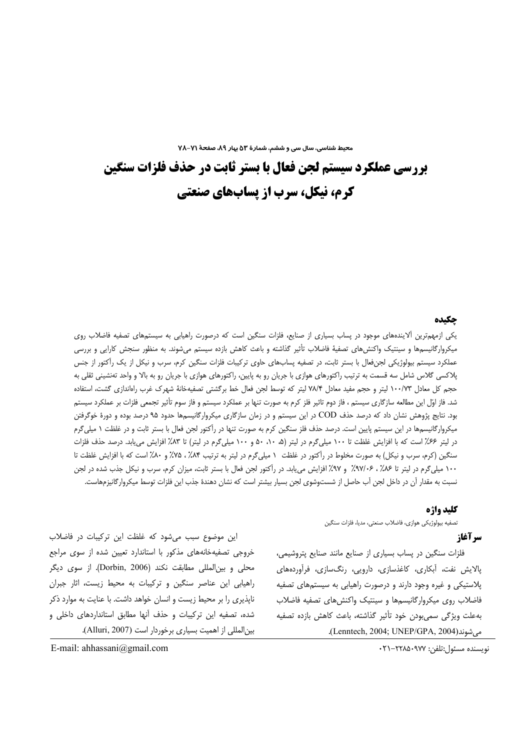محیط شناسی، سال سی و ششم، شمارهٔ ۵۳ بیار ۸۹، صفحهٔ ۷۱–۷۸

بررسی عملکرد سیستم لجن فعال با بستر ثابت در حذف فلزات سنگین کرم، نیکل، سرب از پسابهای صنعتی

#### جكىدە

یکی ازمهمترین آلایندههای موجود در پساب بسیاری از صنایع، فلزات سنگین است که درصورت راهیابی به سیستمهای تصفیه فاضلاب روی میکروارگانیسمها و سینتیک واکنش های تصفیهٔ فاضلاب تأثیر گذاشته و باعث کاهش بازده سیستم می،شوند. به منظور سنجش کارایی و بررسی عملکرد سیستم بیولوژیکی لجنفعال با بستر ثابت، در تصفیه پسابهای حاوی ترکیبات فلزات سنگین کرم، سرب و نیکل از یک راکتور از جنس پلاکسی گلاس شامل سه قسمت به ترتیب راکتورهای هوازی با جریان رو به پایین، راکتورهای هوازی با جریان رو به بالا و واحد تهنشینی ثقلی به حجم کل معادل ۱۰۰/۷۳ لیتر و حجم مفید معادل ۷۸/۴ لیتر که توسط لجن فعال خط برگشتی تصفیهخانهٔ شهرک غرب راهاندازی گشت، استفاده شد. فاز اوّل این مطالعه سازگاری سیستم ، فاز دوم تاثیر فلز کرم به صورت تنها بر عملکرد سیستم و فاز سوم تأثیر تجمعی فلزات بر عملکرد سیستم بود. نتایج پژوهش نشان داد که درصد حذف COD در این سیستم و در زمان سازگاری میکروارگانیسمها حدود ۹۵ درصد بوده و دورهٔ خوگرفتن میکروارگانیسمها در این سیستم پایین است. درصد حذف فلز سنگین کرم به صورت تنها در رأکتور لجن فعال با بستر ثابت و در غلظت ۱ میلیگرم در لیتر ۶۶٪ است که با افزایش غلظت تا ۱۰۰ میلیگرم در لیتر (۵۰ ۱۰، ۵۰ و ۱۰۰ میلیگرم در لیتر) تا ۸۳٪ افزایش می،یابد. درصد حذف فلزات سنگین (کرم، سرب و نیکل) به صورت مخلوط در رآکتور در غلظت ١ میلیگرم در لیتر به ترتیب ٨۴٪، ٧۵٪ و ٨٠٪ است که با افزایش غلظت تا ۱۰۰ میلی گرم در لیتر تا ۸۶٪ ، ۹۷/۱۶٪ و ۹۷٪ افزایش می یابد. در رأکتور لجن فعال با بستر ثابت، میزان کرم، سرب و نیکل جذب شده در لجن نسبت به مقدار آن در داخل لجن آب حاصل از شستوشوي لجن بسيار بيشتر است كه نشان دهندهٔ جذب اين فلزات توسط ميكروارگانيزمهاست.

#### كليد واژه

تصفيه بيولوژيكي هوازي، فاضلاب صنعتي، مديا، فلزات سنگين

# سر آغاز

فلزات سنگین در پساب بسیاری از صنایع مانند صنایع پتروشیمی، پالایش نفت، آبکاری، کاغذسازی، دارویی، رنگسازی، فرآوردههای پلاستیکی و غیره وجود دارند و درصورت راهیابی به سیستمهای تصفیه فاضلاب روى ميكرواركانيسمها و سينتيك واكنشهاى تصفيه فاضلاب بهعلت ويژگى سمىبودن خود تأثير گذاشته، باعث كاهش بازده تصفيه مى شوند(Lenntech, 2004; UNEP/GPA, 2004).

این موضوع سبب می شود که غلظت این ترکیبات در فاضلاب خروجی تصفیهخانههای مذکور با استاندارد تعیین شده از سوی مراجع محلي و بينالمللي مطابقت نكند (Dorbin, 2006). از سوى ديگر راهیابی این عناصر سنگین و ترکیبات به محیط زیست، اثار جبران ناپذیری را بر محیط زیست و انسان خواهد داشت. با عنایت به موارد ذکر شده، تصفیه این ترکیبات و حذف آنها مطابق استانداردهای داخلی و بين المللي از اهميت بسياري برخوردار است (Alluri, 2007).

نويسنده مسئول:تلفن: ٢٢٨٥٠٩٧٧-٢١٠

E-mail: ahhassani@gmail.com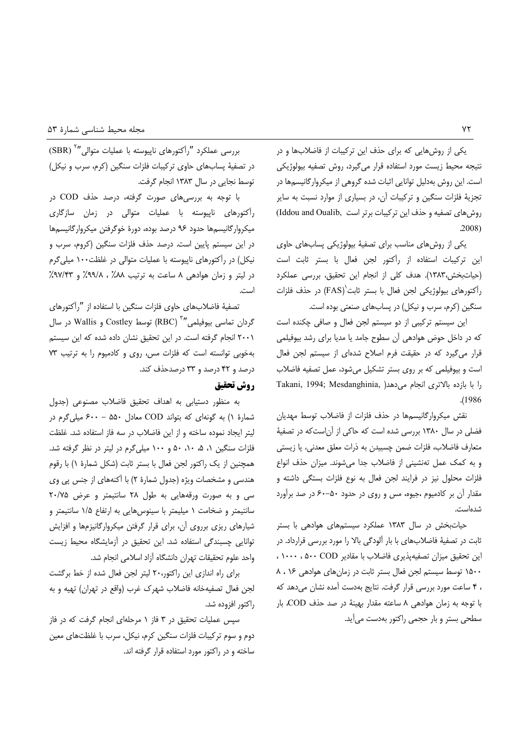یکی از روش هایی که برای حذف این ترکیبات از فاضلابها و در نتيجه محيط زيست مورد استفاده قرار مى گيرد، روش تصفيه بيولوژيكى است. این روش بهدلیل توانایی اثبات شده گروهی از میکروارگانیسمها در تجزیهٔ فلزات سنگین و ترکیبات آن، در بسیاری از موارد نسبت به سایر روش های تصفیه و حذف این ترکیبات برتر است ,Iddou and Oualib  $.2008$ 

یکی از روش های مناسب برای تصفیهٔ بیولوژیکی پسابهای حاوی این ترکیبات استفاده از رآکتور لجن فعال با بستر ثابت است (حیاتبخش،١٣٨٣). هدف کلی از انجام این تحقیق، بررسی عملکرد رآکتورهای بیولوژیکی لجن فعال با بستر ثابت (FAS) در حذف فلزات سنگین (کرم، سرب و نیکل) در پسابهای صنعتی بوده است.

این سیستم ترکیبی از دو سیستم لجن فعال و صافی چکنده است كه در داخل حوض هوادهى آن سطوح جامد يا مديا براى رشد بيوفيلمى قرار می گیرد که در حقیقت فرم اصلاح شدهای از سیستم لجن فعال است و بیوفیلمی که بر روی بستر تشکیل میشود، عمل تصفیه فاضلاب Takani, 1994; Mesdanghinia, را با بازده بالاترى انجام مى دهدا  $.1986$ 

نقش میکروارگانیسمها در حذف فلزات از فاضلاب توسط مهدیان فضلی در سال ۱۳۸۰ بررسی شده است که حاکی از آناست که در تصفیهٔ متعارف فاضلاب، فلزات ضمن چسبیدن به ذرات معلق معدنی، یا زیستی و به كمك عمل تهنشيني از فاضلاب جدا مي شوند. ميزان حذف انواع فلزات محلول نیز در فرایند لجن فعال به نوع فلزات بستگی داشته و مقدار آن بر کادمیوم ،جیوه، مس و روی در حدود ۵۰–۶۰ در صد برآورد شدەاست.

حیاتبخش در سال ۱۳۸۳ عملکرد سیستمهای هوادهی با بستر ثابت در تصفیهٔ فاضلابهای با بار اَلودگی بالا را مورد بررسی قرارداد. در این تحقیق میزان تصفیهپذیری فاضلاب با مقادیر ۵۰۰ COD ۱۰۰۰، ۱۰۰۰ ١۵٠٠ توسط سيستم لجن فعال بستر ثابت در زمان هاى هوادهى ١۶، ٨ ، ۴ ساعت مورد بررسی قرار گرفت. نتایج بهدست آمده نشان میدهد که با توجه به زمان هوادهی ٨ ساعته مقدار بهینهٔ در صد حذف COD، بار سطحی بستر و بار حجمی راکتور بهدست می آید.

بررسی عملکرد "رآکتورهای ناپیوسته با عملیات متوالی "<sup>۲</sup> (SBR) در تصفیهٔ پسابهای حاوی ترکیبات فلزات سنگین (کرم، سرب و نیکل) توسط نجایی در سال ۱۳۸۳ انجام گرفت.

با توجه به بررسی های صورت گرفته، درصد حذف COD در رآکتورهای ناپیوسته با عملیات متوالی در زمان سازگاری ميكرواركانيسمها حدود ٩۶ درصد بوده، دورة خوكرفتن ميكرواركانيسمها در این سیستم پایین است. درصد حذف فلزات سنگین (کروم، سرب و نیکل) در رآکتورهای ناپیوسته با عملیات متوالی در غلظت۱۰۰ میلی گرم در ليتر و زمان هوادهى ٨ ساعت به ترتيب ٨٨٪ ، ٩٧/٣٪ و ٩٧/٣٣٪ است

تصفيهٔ فاضلابهای حاوی فلزات سنگين با استفاده از "رآكتورهای گردان تماسی بیوفیلمی‴<sup>۳</sup> (RBC) توسط Costley و Wallis در سال ٢٠٠١ انجام گرفته است. در این تحقیق نشان داده شده که این سیستم بهخوبي توانسته است كه فلزات مس، روى وكادميوم را به ترتيب ٧٣ درصد و ۴۲ درصد و ۳۳ درصدحذف کند.

# **روش تحقیق**

به منظور دستیابی به اهداف تحقیق فاضلاب مصنوعی (جدول شمارهٔ ۱) به گونهای که بتواند COD معادل ۵۵۰ - ۶۰۰ میلی گرم در لیتر ایجاد نموده ساخته و از این فاضلاب در سه فاز استفاده شد. غلظت فلزات سنگین ۱، ۵، ۱۰، ۵۰ و ۱۰۰ میلی گرم در لیتر در نظر گرفته شد. همچنین از یک راکتور لجن فعال با بستر ثابت (شکل شمارهٔ ۱) با رقوم هندسی و مشخصات ویژه (جدول شمارهٔ ۲) با آکنههای از جنس پی وی سی و به صورت ورقههایی به طول ۲۸ سانتیمتر و عرض ۲۰/۷۵ سانتیمتر و ضخامت ١ میلیمتر با سینوسهایی به ارتفاع ١/۵ سانتیمتر و شیارهای ریزی برروی آن، برای قرار گرفتن میکروارگانیزمها و افزایش توانایی چسبندگی استفاده شد. این تحقیق در آزمایشگاه محیط زیست واحد علوم تحقيقات تهران دانشگاه آزاد اسلامي انجام شد.

برای راه اندازی این راکتور،۲۰ لیتر لجن فعال شده از خط برگشت لجن فعال تصفيهخانه فاضلاب شهرک غرب (واقع در تهران) تهيه و به راكتور افزوده شد.

سیس عملیات تحقیق در ۳ فاز ۱ مرحلهای انجام گرفت که در فاز دوم و سوم ترکیبات فلزات سنگین کرم، نیکل، سرب با غلظتهای معین ساخته و در راکتور مورد استفاده قرار گرفته اند.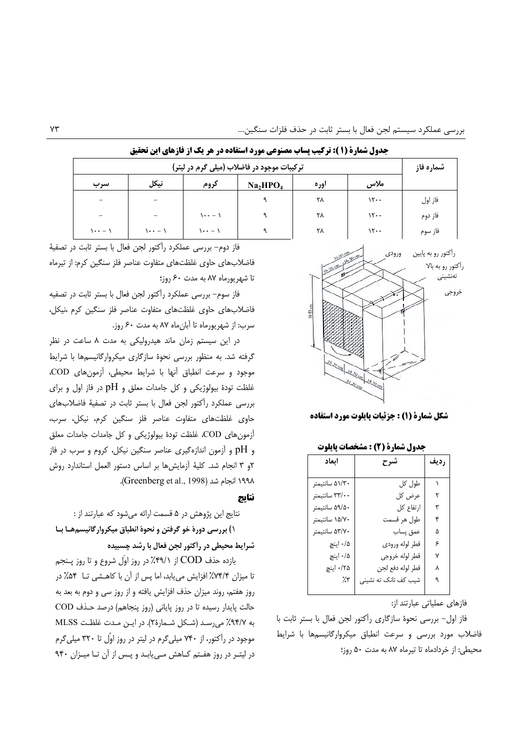| ترکیبات موجود در فاضلاب (میلی گرم در لیتر) |         |                                 |                                  |       |               | شماره فاز |
|--------------------------------------------|---------|---------------------------------|----------------------------------|-------|---------------|-----------|
| سرب                                        | نيكل    | كروم                            | Na <sub>2</sub> HPO <sub>4</sub> | اور ہ | ملاس          |           |
| $\overline{\phantom{0}}$                   |         |                                 |                                  | ٢٨    | 15.           | فاز اول   |
| $\overline{\phantom{0}}$                   |         | <b>۱・・ ー ノ</b>                  |                                  | ٢٨    | 15.           | فاز دوم   |
| ハ・・ー ハ                                     | )・・ — ) | $\lambda \cdot \cdot - \lambda$ | ٩                                | ٢٨    | $\mathcal{N}$ | فاز سوم   |

جدول شمارة (1 ): تركيب يساب مصنوعي مورد استفاده در هر يك از فازهاي اين تحقيق



شكل شمارة (1) : جزئيات يايلوت مورد استفاده

| ابعاد          | شرح                  | رديف |
|----------------|----------------------|------|
| ۵۱/۳۰ سانتیمتر | طول کل               |      |
| ۳۳/۰۰ سانتيمتر | عرض کل               | ٢    |
| ۵۹/۵۰ سانتيمتر | ارتفاع كل            | ٣    |
| ۱۵/۷۰ سانتیمتر | طول هر قسمت          | ۴    |
| ۵۳/۷۰ سانتیمتر | عمق پساب             | ۵    |
| ۰/۵ اینچ       | قطر لوله ورودى       | ۶    |
| ۰/۵ اینچ       | قطر لوله خروجي       | ٧    |
| ۰/۲۵ اینچ      | قطر لوله دفع لجن     | ٨    |
| 7.۳            | شیب کف تانک ته نشینی | ٩    |
|                |                      |      |

فازهای عملیاتی عبارتند از:

فاز اول- بررسی نحوهٔ سازگاری رآکتور لجن فعال با بستر ثابت با فاضلاب مورد بررسي و سرعت انطباق ميكرواركانيسمها با شرايط محيطي: از خردادماه تا تيرماه ٨٧ به مدت ٥٠ روز؛

فاز دوم- بررسی عملکرد رأکتور لجن فعال با بستر ثابت در تصفیهٔ فاضلابهای حاوی غلظتهای متفاوت عناصر فلز سنگین کرم: از تیرماه تا شهریورماه ۸۷ به مدت ۶۰ روز؛

فاز سوم– بررسی عملکرد رآکتور لجن فعال با بستر ثابت در تصفیه .<br>فاضلابهای حاوی غلظتهای متفاوت عناصر فلز سنگین کرم ،نیکل، سرب: از شهریورماه تا آبان ماه ۸۷ به مدت ۶۰ روز.

در این سیستم زمان ماند هیدرولیکی به مدت ۸ ساعت در نظر گرفته شد. به منظور بررسی نحوهٔ سازگاری میکروارگانیسمها با شرایط موجود و سرعت انطباق أنها با شرايط محيطى، أزمون هاى COD، غلظت تودهٔ بیولوژیکی و کل جامدات معلق و pH در فاز اول و برای بررسی عملکرد رأکتور لجن فعال با بستر ثابت در تصفيهٔ فاضلابهای حاوی غلظتهای متفاوت عناصر فلز سنگین کرم، نیکل، سرب، آزمون هاي COD، غلظت تودهٔ بيولوژيکي و کل جامدات جامدات معلق و pH و آزمون اندازهگیری عناصر سنگین نیکل، کروم و سرب در فاز ۶و ۳ انجام شد. کلیهٔ آزمایش ها بر اساس دستور العمل استاندارد روش ١٩٩٨ انجام شد (Greenberg et al., 1998).

#### نتاىج

نتايج اين پژوهش در ۵ قسمت ارائه مي شود كه عبارتند از :

١) بررسی دورهٔ خو گرفتن و نحوهٔ انطباق میکروار گانیسمهـا بـا شرایط محیطی در رأکتور لجن فعال با رشد چسبیده

بازده حذف COD از ۴۹/۱٪ در روز اوّل شروع و تا روز پــنجم تا میزان ۷۴/۴٪ افزایش می یابد، اما پس از آن با کاهـشی تــا ۵۴٪ در روز هفتم، روند میزان حذف افزایش یافته و از روز سی و دوم به بعد به حالت پایدار رسیده تا در روز پایانی (روز پنجاهم) درصد حـذف COD به ٩٤/٧٪ میرسد (شكل شمارة٢). در اين مدت غلظت MLSS موجود در رآکتور، از ۷۴۰ میلی گرم در لیتر در روز اوَّل تا ۳۲۰ میلی گرم در لیتـر در روز هفـتم کـاهش مـی یابـد و پـس از آن تـا میـزان ۹۴۰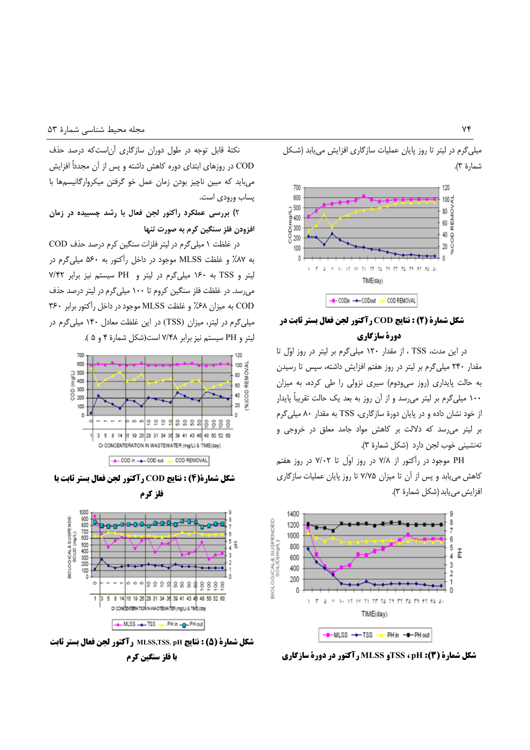میلی گرم در لیتر تا روز پایان عملیات سازگاری افزایش می یابد (شکل شمارهٔ ۳).



# شکل شمارة (2) : نتايج COD رآکتور لجن فعال بستر ثابت در دورة سازگاري

در این مدت، TSS ، از مقدار ۱۲۰ میلی گرم بر لیتر در روز اوّل تا مقدار ۲۴۰ میلی گرم بر لیتر در روز هفتم افزایش داشته، سپس تا رسیدن به حالت پایداری (روز سی ودوم) سیری نزولی را طی کرده، به میزان ۱۰۰ میلیگرم بر لیتر می رسد و از آن روز به بعد یک حالت تقریباً پایدار از خود نشان داده و در پایان دورهٔ سازگاری، TSS به مقدار ۸۰ میلی گرم بر لیتر می رسد که دلالت بر کاهش مواد جامد معلق در خروجی و تەنشينى خوب لجن دارد (شكل شمارة ٣).

PH موجود در رآکتور از ۷/۸ در روز اوّل تا ۷/۰۲ در روز هفتم کاهش می یابد و پس از آن تا میزان ۷/۷۵ تا روز پایان عملیات سازگاری افزايش مي يابد (شكل شمارة ٣).



**شکل شمارة (3): TSS ، pH او MLSS رآکتور در دورة سازگاری** 

نكتهٔ قابل توجه در طول دوران سازگارى آن است كه درصد حذف COD در روزهای ابتدای دوره کاهش داشته و پس از آن مجدداً افزایش می باید که مبین ناچیز بودن زمان عمل خو گرفتن میکروارگانیسمها با یساب ورودی است.

۲) بررسی عملکرد رأکتور لجن فعال با رشد چسبیده در زمان افزودن فلز سنگین کرم به صورت تنها

در غلظت ١ ميلي گرم در ليتر فلزات سنگين كرم درصد حذف COD به ۸۷٪ و غلظت MLSS موجود در داخل رآکتور به ۵۶۰ میلی گرم در لیتر و TSS به ۱۶۰ میلی گرم در لیتر و PH سیستم نیز برابر ۷/۴۲ می رسد. در غلظت فلز سنگین کروم تا ۱۰۰ میلی گرم در لیتر درصد حذف COD به ميزان ۶۸٪ و غلظت MLSS موجود در داخل رآكتور برابر ۳۶۰ میلیگرم در لیتر، میزان (TSS) در این غلظت معادل ۱۴۰ میل<sub>ه،</sub>گرم در ليتر و PH سيستم نيز برابر ٧/۴۸ است(شكل شمارهٔ ۴ و ۵).



شكل شمارة(4) : نتايج COD رآكتور لجن فعال بستر ثابت با



شكل شمارة (5) : نتايج MLSS,TSS, pH , آكتور لجن فعال بستر ثابت با فلز سنگین کرم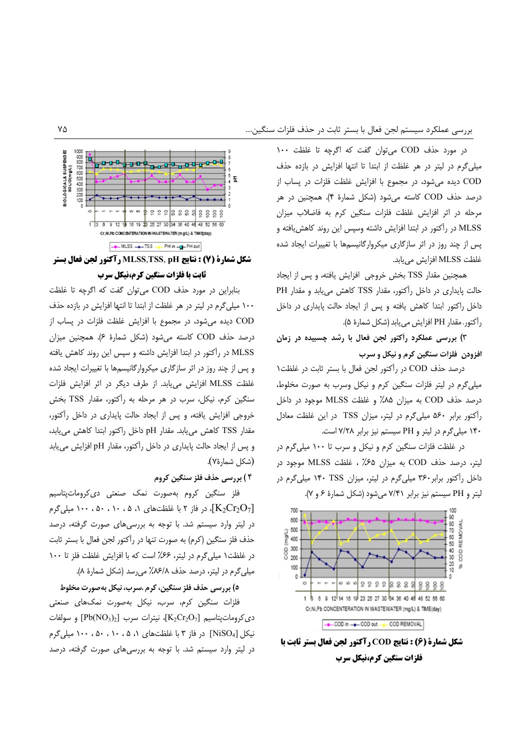در مورد حذف COD می توان گفت که اگرچه تا غلظت ١٠٠ میلی گرم در لیتر در هر غلظت از ابتدا تا انتها افزایش در بازده حذف COD دیده می شود، در مجموع با افزایش غلظت فلزات در پساب از درصد حذف COD کاسته میشود (شکل شمارهٔ ۴). همچنین در هر مرحله در اثر افزایش غلظت فلزات سنگین کرم به فاضلاب میزان MLSS در رآکتور در ابتدا افزایش داشته وسپس این روند کاهش یافته و یس از چند روز در اثر سازگاری میکروارگانیسمها با تغییرات ایجاد شده غلظت MLSS افزايش مى يابد.

همچنین مقدار TSS بخش خروجی افزایش یافته، و پس از ایجاد حالت پایداری در داخل رآکتور، مقدار TSS کاهش می یابد و مقدار PH داخل راکتور ابتدا کاهش یافته و پس از ایجاد حالت پایداری در داخل رآكتور، مقدار PH افزايش مي يابد (شكل شمارة ۵).

۳) بررسی عملکرد راکتور لجن فعال با رشد چسبیده در زمان افزودن فلزات سنگين كرم و نيكل و سرب

درصد حذف COD در رآکتور لجن فعال با بستر ثابت در غلظت\ میلی گرم در لیتر فلزات سنگین کرم و نیکل وسرب به صورت مخلوط، درصد حذف COD به ميزان ٨۵٪ و غلظت MLSS موجود در داخل رآکتور برابر ۵۶۰ میلی گرم در لیتر، میزان TSS در این غلظت معادل ۱۴۰ میلی گرم در لیتر و PH سیستم نیز برابر ۷/۲۸ است.

در غلظت فلزات سنگین کرم و نیکل و سرب تا ۱۰۰ میلی گرم در ليتر، درصد حذف COD به ميزان ۶۵٪ ، غلظت MLSS موجود در داخل رأکتور برابر۳۶۰ میلیگرم در لیتر، میزان ۱۴۰ TSS میلیگرم در ليتر و PH سيستم نيز برابر ٢/٤١ مي شود (شكل شمارة ۶ و ٧).



شكل شمارة (6) : نتايج COD رآكتور لجن فعال بستر ثابت با فلزات سنگین کرم،نیکل سرب



شكل شمارة (7) : نتايج MLSS,TSS, pH رآكتور لجن فعال بستر ثابت با فلزات سنگین کرم،نیکل سرب

بنابراین در مورد حذف COD می توان گفت که اگرچه تا غلظت ۱۰۰ میلی گرم در لیتر در هر غلظت از ابتدا تا انتها افزایش در بازده حذف COD ديده مي شود، در مجموع با افزايش غلظت فلزات در پساب از درصد حذف COD كاسته مى شود (شكل شمارة ۶). همچنين ميزان MLSS در رآکتور در ابتدا افزایش داشته و سپس این روند کاهش یافته و پس از چند روز در اثر سازگاری میکروارگانیسمها با تغییرات ایجاد شده غلظت MLSS افزايش مى يابد. از طرف ديكر در اثر افزايش فلزات سنگین کرم، نیکل، سرب در هر مرحله به رآکتور، مقدار TSS بخش خروجی افزایش یافته، و پس از ایجاد حالت پایداری در داخل رآکتور، مقدار TSS كاهش مى يابد. مقدار pH داخل راكتور ابتدا كاهش مى يابد، و پس از ایجاد حالت پایداری در داخل رآکتور، مقدار pH افزایش می یابد (شكل شمارة٧).

## ۴ ) بررسی حذف فلز سنگین کروم

فلز سنگین کروم بهصورت نمک صنعتی دی¢روماتیتاسیم ، ۱۰، ۱۰، ۱۰، ۱۰، ۱۰، با غلظتهای ۱، ۱۰، ۱۰، ۱۰، ۱۰۰، میلیگرم $\rm{K_{2}Cr_{2}O_{7}}$ در لیتر وارد سیستم شد. با توجه به بررسیهای صورت گرفته، درصد حذف فلز سنگین (کرم) به صورت تنها در رآکتور لجن فعال با بستر ثابت در غلظت ١ میلیگرم در لیتر، ۶۶٪ است که با افزایش غلظت فلز تا ١٠٠ میلی گرم در لیتر، درصد حذف ۶/۸۶/۸ می رسد (شکل شمارهٔ ۸).

# ٥) بررسي حذف فلز سنگين، كرم ،سرب، نيكل بهصورت مخلوط

فلزات سنگین کرم، سرب، نیکل بهصورت نمکهای صنعتی دىكروماتپتاسيم [K2Cr2O7]، نيترات سرب [Pb(NO3)2] و سولفات نیکل [NiSO4] در فاز ۳ با غلظتهای ۱، ۵، ۱۰، ۵۰، ۱۰۰ میلی گرم در لیتر وارد سیستم شد. با توجه به بررسی های صورت گرفته، درصد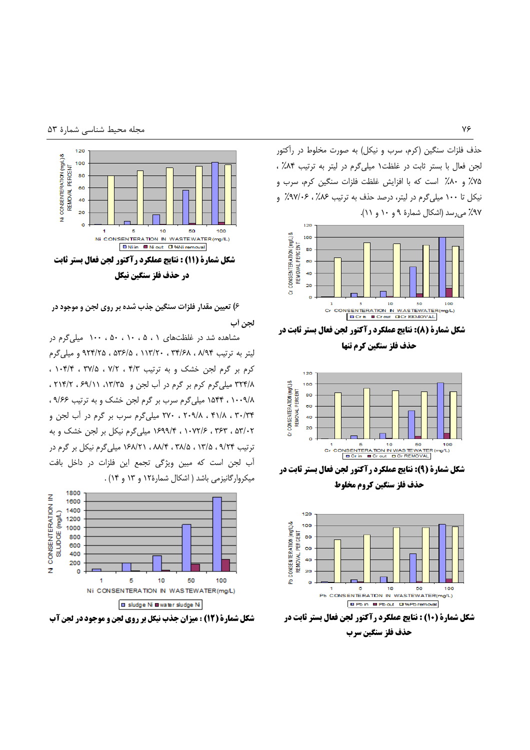حذف فلزات سنگین (کرم، سرب و نیکل) به صورت مخلوط در رآکتور لجن فعال با بستر ثابت در غلظت ۱ میلی گرم در لیتر به ترتیب ۸۴٪ ، ۷۵٪ و ۸۰٪ است که با افزایش غلظت فلزات سنگین کرم، سرب و نیکل تا ۱۰۰ میلی گرم در لیتر، درصد حذف به ترتیب ۸۶٪، ۹۷/۰۶٪ و ۹۷٪ می رسد (اشکال شمارهٔ ۹ و ۱۰ و ۱۱).



شکل شمارة (8): نتایج عملکرد رآکتور لجن فعال بستر ثابت در

حذف فلز سنگين كرم تنها



شکل شمارة (9): نتايج عملکرد رآکتور لجن فعال بستر ثابت در حذف فلز سنگين کروم مخلوط



حذف فلز سنگین سرب



۶) تعیین مقدار فلزات سنگین جذب شده بر روی لجن و موجود در لجن أب

مشاهده شد در غلظتهای ۰، ۵، ۱۰، ۵۰، ۱۰۰ میلی گرم در لیتر به ترتیب ۹۲۴/۶۸ ، ۱۱۳/۲۰ ، ۵۳۶/۵ ، ۵۳۶/۵ ، ۹۲۴/۲۵ و میلی گرم کرم بر گرم لجن خشک و به ترتیب ۴/۳ ، ۲/۲ ، ۱۰۴/۴ ، ۱۰۴/۴ ۳۲۴/۸ میلی گرم کرم بر گرم در آب لجن و ۱۳/۳۵، ۶۹/۱۱، ۲۱۴/۲، ۲ ۱٬۵۴۴٬۱۰۰۹/۸ میلیگرم سرب بر گرم لجن خشک و به ترتیب ۹/۶۶، ۳۴/۳۴ ، ۴۱/۸ ، ۲۰۹/۸ ، ۲۷۰ میلی گرم سرب بر گرم در آب لجن و ۵۳/۰۲ ، ۳۶۳ ، ۱۰۷۲/۶ ، ۱۶۹۹/۴ میلیگرم نیکل بر لجن خشک و به ترتیب ۹/۲۴ ، ۱۳/۵ ، ۳۸/۵ ، ۸۸/۴ ، ۱۶۸/۲۱ میلی گرم نیکل بر گرم در آب لجن است كه مبين ويژگى تجمع اين فلزات در داخل بافت میکروارگانیزمی باشد ( اشکال شمارهٔ ۱۲ و ۱۳ و ۱۴) .

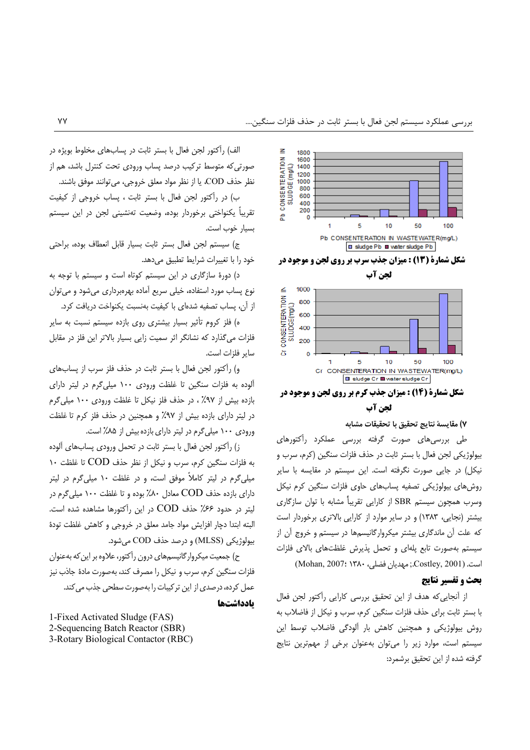

لحن آب

#### ٧) مقايسة نتايج تحقيق يا تحقيقات مشابه

طی بررسیهای صورت گرفته بررسی عملکرد رآکتورهای بيولوژيكي لجن فعال با بستر ثابت در حذف فلزات سنگين (كرم، سرب و نیکل) در جایی صورت نگرفته است. این سیستم در مقایسه با سایر روشهای بیولوژیکی تصفیه پسابهای حاوی فلزات سنگین کرم نیکل وسرب همچون سیستم SBR از کارایی تقریباً مشابه با توان سازگاری بیشتر (نجایی، ۱۳۸۳) و در سایر موارد از کارایی بالاتری برخوردار است که علت آن ماندگاری بیشتر میکروارگانیسمها در سیستم و خروج آن از سیستم بهصورت تابع پلهای و تحمل پذیرش غلظتهای بالای فلزات است. (Costley, 2001.; مهديان فضلي، ١٣٨٠ :2007) (Mohan, 2007)

## يحث و تفسير نتايج

از آنجایی که هدف از این تحقیق بررسی کارایی رآکتور لجن فعال با بستر ثابت برای حذف فلزات سنگین کرم، سرب و نیکل از فاضلاب به روش بیولوژیکی و همچنین کاهش بار آلودگی فاضلاب توسط این سیستم است، موارد زیر را می توان به عنوان برخی از مهم ترین نتایج گرفته شده از این تحقیق برشمرد:

الف) رآکتور لجن فعال با بستر ثابت در پسابهای مخلوط بویژه در صورتی که متوسط ترکیب درصد پساب ورودی تحت کنترل باشد، هم از نظر حذف COD، يا از نظر مواد معلق خروجي، مي توانند موفق باشند.

ب) در رأكتور لجن فعال با بستر ثابت ، پساب خروجي از كيفيت تقریباً یکنواختی برخوردار بوده، وضعیت تهنشینی لجن در این سیستم بسيار خوب است.

ج) سيستم لجن فعال بستر ثابت بسيار قابل انعطاف بوده، براحتى خود را با تغییرات شرایط تطبیق میدهد.

د) دورهٔ سازگاری در این سیستم کوتاه است و سیستم با توجه به نوع پساب مورد استفاده، خيلي سريع آماده بهرهبرداري مي شود و مي توان از آن، پساب تصفیه شدهای با کیفیت بهنسبت یکنواخت دریافت کرد.

ه) فلز کروم تأثیر بسیار بیشتری روی بازده سیستم نسبت به سایر .<br>فلزات می *گ*ذارد که نشانگر اثر سمیت زایی بسیار بالاتر این فلز در مقابل سایر فلزات است.

و) رآکتور لجن فعال با بستر ثابت در حذف فلز سرب از پسابهای آلوده به فلزات سنگین تا غلظت ورودی ۱۰۰ میلی گرم در لیتر دارای بازده بیش از ۹۷٪ ، در حذف فلز نیکل تا غلظت ورودی ۱۰۰ میلی گرم در ليتر داراي بازده بيش از ٩٧٪ و همچنين در حذف فلز كرم تا غلظت ورودی ۱۰۰ میلی گرم در لیتر دارای بازده بیش از ۸۵٪ است.

ز) رآکتور لجن فعال با بستر ثابت در تحمل ورودی پسابهای آلوده به فلزات سنگین کرم، سرب و نیکل از نظر حذف COD تا غلظت ١٠ میلی گرم در لیتر کاملاً موفق است، و در غلظت ۱۰ میلی گرم در لیتر دارای بازده حذف COD معادل ۸۰٪ بوده و تا غلظت ۱۰۰ میلی گرم در ليتر در حدود ۶۶٪ حذف COD در اين رآكتورها مشاهده شده است. البته ابتدا دڃار افزايش مواد جامد معلق در خروجى و كاهش غلظت تودة بيولوژيکي (MLSS) و درصد حذف COD مي شود.

ح) جمعیت میکروارگانیسمهای درون راَکتور، علاوه بر این که بهعنوان فلزات سنگین کرم، سرب و نیکل را مصرف کند، بهصورت مادهٔ جاذب نیز عمل کرده، درصدی از این تر کیبات را بهصورت سطحی جذب می کند. بادداشتها

1-Fixed Activated Sludge (FAS) 2-Sequencing Batch Reactor (SBR) 3-Rotary Biological Contactor (RBC)